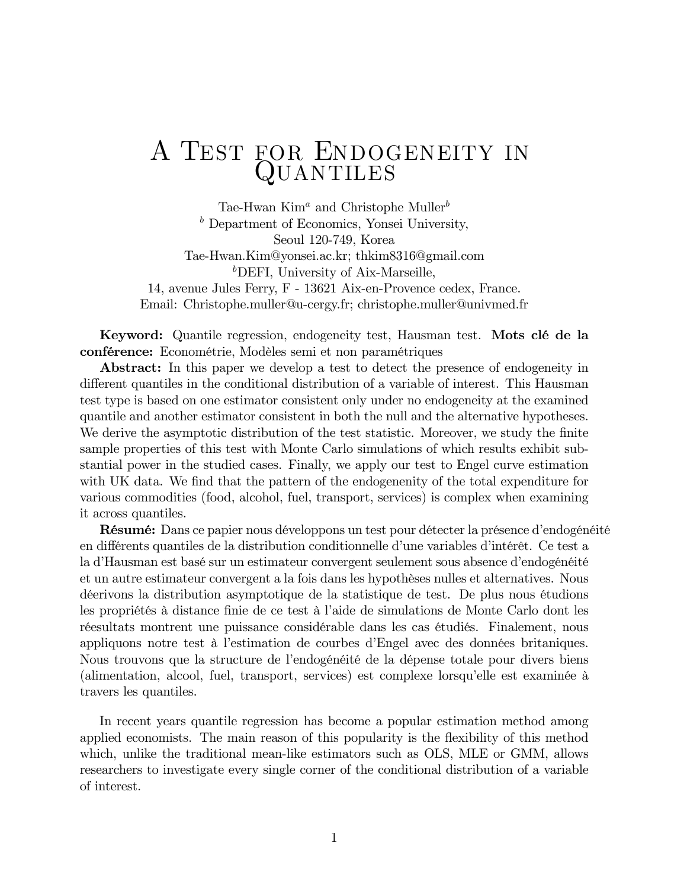## A TEST FOR ENDOGENEITY IN QUANTILES

Tae-Hwan  $Kim^a$  and Christophe Muller<sup>b</sup>  $<sup>b</sup>$  Department of Economics, Yonsei University,</sup> Seoul 120-749, Korea Tae-Hwan.Kim@yonsei.ac.kr; thkim8316@gmail.com <sup>b</sup>DEFI, University of Aix-Marseille, 14, avenue Jules Ferry, F - 13621 Aix-en-Provence cedex, France. Email: Christophe.muller@u-cergy.fr; christophe.muller@univmed.fr

Keyword: Quantile regression, endogeneity test, Hausman test. Mots clé de la conférence: Econométrie, Modèles semi et non paramétriques

**Abstract:** In this paper we develop a test to detect the presence of endogeneity in different quantiles in the conditional distribution of a variable of interest. This Hausman test type is based on one estimator consistent only under no endogeneity at the examined quantile and another estimator consistent in both the null and the alternative hypotheses. We derive the asymptotic distribution of the test statistic. Moreover, we study the finite sample properties of this test with Monte Carlo simulations of which results exhibit substantial power in the studied cases. Finally, we apply our test to Engel curve estimation with UK data. We find that the pattern of the endogenenity of the total expenditure for various commodities (food, alcohol, fuel, transport, services) is complex when examining it across quantiles.

Résumé: Dans ce papier nous développons un test pour détecter la présence d'endogénéité en différents quantiles de la distribution conditionnelle d'une variables d'intérêt. Ce test a la d'Hausman est basé sur un estimateur convergent seulement sous absence d'endogénéité et un autre estimateur convergent a la fois dans les hypothèses nulles et alternatives. Nous décrivons la distribution asymptotique de la statistique de test. De plus nous étudions les propriétés à distance finie de ce test à l'aide de simulations de Monte Carlo dont les réesultats montrent une puissance considérable dans les cas étudiés. Finalement, nous appliquons notre test à l'estimation de courbes d'Engel avec des données britaniques. Nous trouvons que la structure de l'endogénéité de la dépense totale pour divers biens (alimentation, alcool, fuel, transport, services) est complexe lorsqu'elle est examinée à travers les quantiles.

In recent years quantile regression has become a popular estimation method among applied economists. The main reason of this popularity is the flexibility of this method which, unlike the traditional mean-like estimators such as OLS, MLE or GMM, allows researchers to investigate every single corner of the conditional distribution of a variable of interest.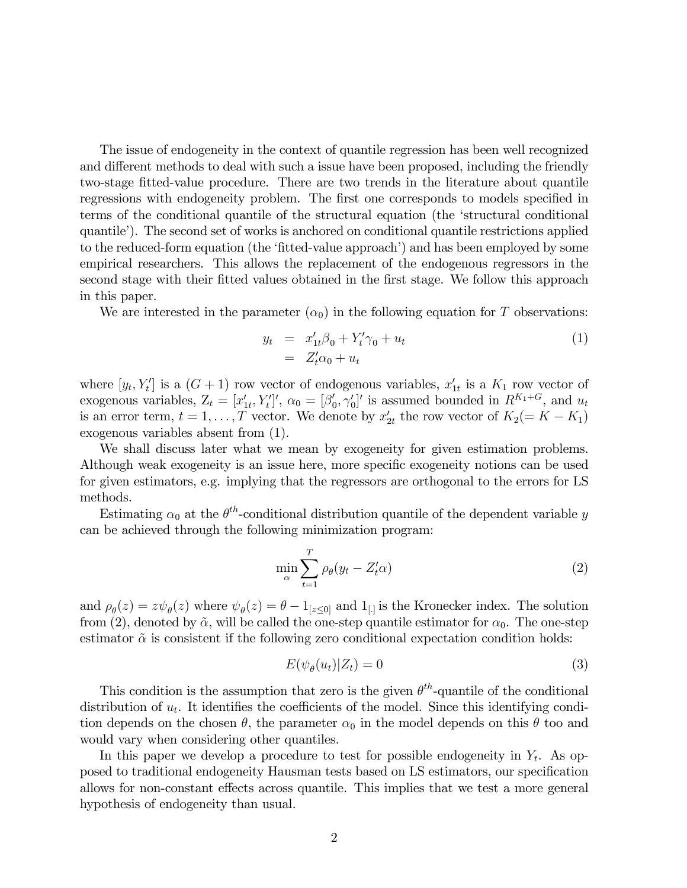The issue of endogeneity in the context of quantile regression has been well recognized and different methods to deal with such a issue have been proposed, including the friendly two-stage fitted-value procedure. There are two trends in the literature about quantile regressions with endogeneity problem. The first one corresponds to models specified in terms of the conditional quantile of the structural equation (the ëstructural conditional quantile<sup> $\cdot$ </sup>). The second set of works is anchored on conditional quantile restrictions applied to the reduced-form equation (the 'fitted-value approach') and has been employed by some empirical researchers. This allows the replacement of the endogenous regressors in the second stage with their fitted values obtained in the first stage. We follow this approach in this paper.

We are interested in the parameter  $(\alpha_0)$  in the following equation for T observations:

$$
y_t = x'_{1t}\beta_0 + Y'_t\gamma_0 + u_t
$$
  
= 
$$
Z'_t\alpha_0 + u_t
$$
 (1)

where  $[y_t, Y_t']$  is a  $(G + 1)$  row vector of endogenous variables,  $x'_{1t}$  is a  $K_1$  row vector of exogenous variables,  $Z_t = [x'_{1t}, Y'_t]'$ ,  $\alpha_0 = [\beta'_0, \gamma'_0]'$  is assumed bounded in  $R^{K_1+G}$ , and  $u_t$ is an error term,  $t = 1, ..., T$  vector. We denote by  $x'_{2t}$  the row vector of  $K_2 (= K - K_1)$ exogenous variables absent from (1).

We shall discuss later what we mean by exogeneity for given estimation problems. Although weak exogeneity is an issue here, more specific exogeneity notions can be used for given estimators, e.g. implying that the regressors are orthogonal to the errors for LS methods.

Estimating  $\alpha_0$  at the  $\theta^{th}$ -conditional distribution quantile of the dependent variable y can be achieved through the following minimization program:

$$
\min_{\alpha} \sum_{t=1}^{T} \rho_{\theta}(y_t - Z'_t \alpha) \tag{2}
$$

and  $\rho_{\theta}(z) = z\psi_{\theta}(z)$  where  $\psi_{\theta}(z) = \theta - 1_{[z \leq 0]}$  and  $1_{[z]}$  is the Kronecker index. The solution from (2), denoted by  $\tilde{\alpha}$ , will be called the one-step quantile estimator for  $\alpha_0$ . The one-step estimator  $\tilde{\alpha}$  is consistent if the following zero conditional expectation condition holds:

$$
E(\psi_{\theta}(u_t)|Z_t) = 0 \tag{3}
$$

This condition is the assumption that zero is the given  $\theta^{th}$ -quantile of the conditional distribution of  $u_t$ . It identifies the coefficients of the model. Since this identifying condition depends on the chosen  $\theta$ , the parameter  $\alpha_0$  in the model depends on this  $\theta$  too and would vary when considering other quantiles.

In this paper we develop a procedure to test for possible endogeneity in  $Y_t$ . As opposed to traditional endogeneity Hausman tests based on LS estimators, our specification allows for non-constant effects across quantile. This implies that we test a more general hypothesis of endogeneity than usual.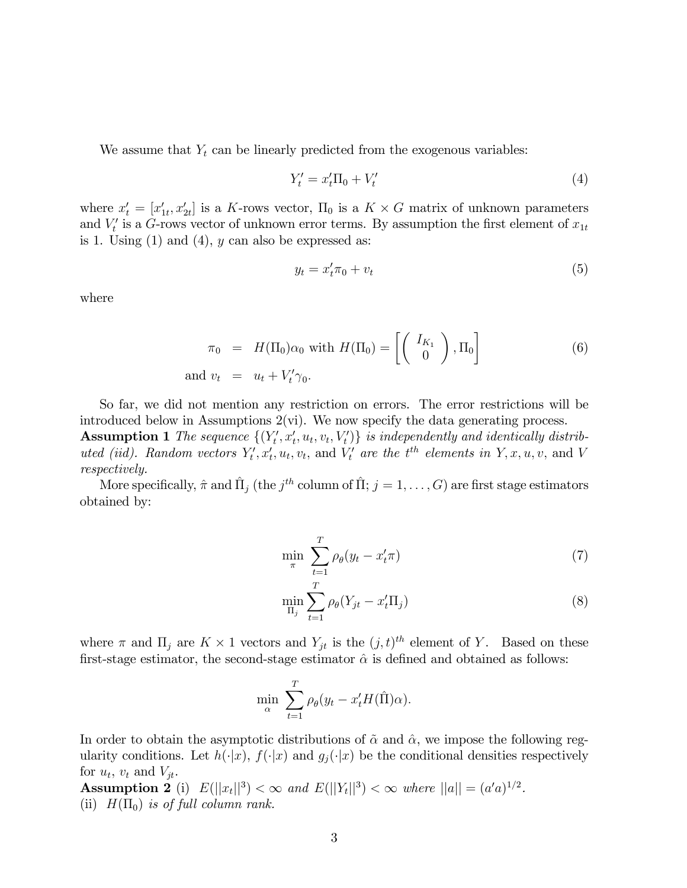We assume that  $Y_t$  can be linearly predicted from the exogenous variables:

$$
Y_t' = x_t' \Pi_0 + V_t'
$$
 (4)

where  $x'_t = [x'_{1t}, x'_{2t}]$  is a K-rows vector,  $\Pi_0$  is a  $K \times G$  matrix of unknown parameters and  $V_t'$  is a G-rows vector of unknown error terms. By assumption the first element of  $x_{1t}$ is 1. Using  $(1)$  and  $(4)$ , y can also be expressed as:

$$
y_t = x'_t \pi_0 + v_t \tag{5}
$$

where

$$
\pi_0 = H(\Pi_0)\alpha_0 \text{ with } H(\Pi_0) = \left[ \begin{pmatrix} I_{K_1} \\ 0 \end{pmatrix}, \Pi_0 \right]
$$
  
and  $v_t = u_t + V'_t \gamma_0.$  (6)

So far, we did not mention any restriction on errors. The error restrictions will be introduced below in Assumptions  $2(\nu i)$ . We now specify the data generating process.

**Assumption 1** The sequence  $\{(Y'_t, x'_t, u_t, v_t, V'_t)\}\$ is independently and identically distribution uted (iid). Random vectors  $Y'_t, x'_t, u_t, v_t$ , and  $V'_t$  are the  $t^{th}$  elements in  $Y, x, u, v$ , and V respectively.

More specifically,  $\hat{\pi}$  and  $\hat{\Pi}_j$  (the  $j^{th}$  column of  $\hat{\Pi};$   $j = 1, \ldots, G)$  are first stage estimators obtained by:

$$
\min_{\pi} \sum_{t=1}^{T} \rho_{\theta}(y_t - x'_t \pi) \tag{7}
$$

$$
\min_{\Pi_j} \sum_{t=1}^T \rho_\theta (Y_{jt} - x'_t \Pi_j) \tag{8}
$$

where  $\pi$  and  $\Pi_j$  are  $K \times 1$  vectors and  $Y_{jt}$  is the  $(j, t)^{th}$  element of Y. Based on these first-stage estimator, the second-stage estimator  $\hat{\alpha}$  is defined and obtained as follows:

$$
\min_{\alpha} \sum_{t=1}^{T} \rho_{\theta}(y_t - x'_t H(\hat{\Pi}) \alpha).
$$

In order to obtain the asymptotic distributions of  $\tilde{\alpha}$  and  $\hat{\alpha}$ , we impose the following regularity conditions. Let  $h(\cdot|x)$ ,  $f(\cdot|x)$  and  $g_j(\cdot|x)$  be the conditional densities respectively for  $u_t$ ,  $v_t$  and  $V_{jt}$ .

Assumption 2 (i)  $E(||x_t||^3) < \infty$  and  $E(||Y_t||^3) < \infty$  where  $||a|| = (a'a)^{1/2}$ . (ii)  $H(\Pi_0)$  is of full column rank.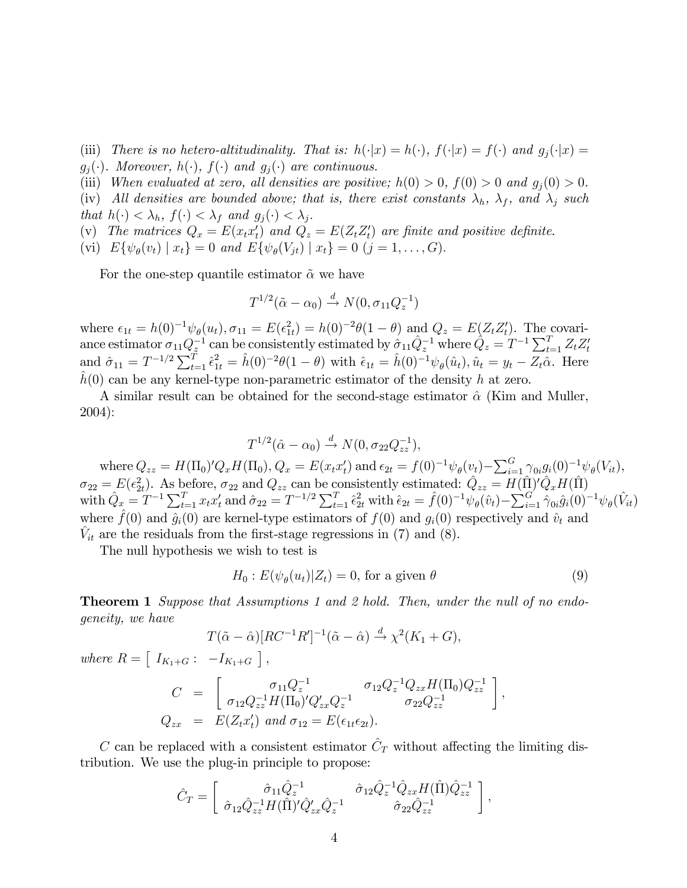(iii) There is no hetero-altitudinality. That is:  $h(\cdot|x) = h(\cdot)$ ,  $f(\cdot|x) = f(\cdot)$  and  $g_i(\cdot|x) = f(x)$  $g_i(\cdot)$ . Moreover,  $h(\cdot)$ ,  $f(\cdot)$  and  $g_i(\cdot)$  are continuous.

(iii) When evaluated at zero, all densities are positive;  $h(0) > 0$ ,  $f(0) > 0$  and  $g_j(0) > 0$ .

(iv) All densities are bounded above; that is, there exist constants  $\lambda_h$ ,  $\lambda_f$ , and  $\lambda_j$  such that  $h(\cdot) < \lambda_h$ ,  $f(\cdot) < \lambda_f$  and  $g_j(\cdot) < \lambda_j$ .

(v) The matrices  $Q_x = E(x_t x_t')$  and  $Q_z = E(Z_t Z_t')$  are finite and positive definite.

(vi)  $E\{\psi_{\theta}(v_t) \mid x_t\} = 0$  and  $E\{\psi_{\theta}(V_{jt}) \mid x_t\} = 0$   $(j = 1, ..., G)$ .

For the one-step quantile estimator  $\tilde{\alpha}$  we have

$$
T^{1/2}(\tilde{\alpha} - \alpha_0) \xrightarrow{d} N(0, \sigma_{11} Q_z^{-1})
$$

where  $\epsilon_{1t} = h(0)^{-1} \psi_{\theta}(u_t), \sigma_{11} = E(\epsilon_{1t}^2) = h(0)^{-2} \theta(1-\theta)$  and  $Q_z = E(Z_t Z_t')$ . The covariance estimator  $\sigma_{11} Q_z^{-1}$  can be consistently estimated by  $\hat{\sigma}_{11} \hat{Q}_z^{-1}$  where  $\hat{Q}_z = T^{-1} \sum_{t=1}^T Z_t Z_t'$ and  $\hat{\sigma}_{11} = T^{-1/2} \sum_{t=1}^{T} \hat{\epsilon}_{1t}^2 = \hat{h}(0)^{-2} \theta(1-\theta)$  with  $\hat{\epsilon}_{1t} = \hat{h}(0)^{-1} \psi_{\theta}(\hat{u}_t), \hat{u}_t = y_t - Z_t \hat{\alpha}$ . Here  $\hat{h}(0)$  can be any kernel-type non-parametric estimator of the density h at zero.

A similar result can be obtained for the second-stage estimator  $\hat{\alpha}$  (Kim and Muller, 2004):

$$
T^{1/2}(\hat{\alpha}-\alpha_0) \stackrel{d}{\rightarrow} N(0, \sigma_{22}Q_{zz}^{-1}),
$$

where  $Q_{zz} = H(\Pi_0)' Q_x H(\Pi_0), Q_x = E(x_t x_t')$  and  $\epsilon_{2t} = f(0)^{-1} \psi_\theta(v_t) - \sum_{i=1}^G \gamma_{0i} g_i(0)^{-1} \psi_\theta(V_{it}),$  $\sigma_{22} = E(\epsilon_{2t}^2)$ . As before,  $\sigma_{22}$  and  $Q_{zz}$  can be consistently estimated:  $\hat{Q}_{zz} = H(\hat{\Pi})' \hat{Q}_x H(\hat{\Pi})$ with  $\hat{Q}_x = T^{-1} \sum_{t=1}^T x_t x_t^t$  and  $\hat{\sigma}_{22} = T^{-1/2} \sum_{t=1}^T \hat{\epsilon}_{2t}^2$  with  $\hat{\epsilon}_{2t} = \hat{f}(0)^{-1} \psi_\theta(\hat{v}_t) - \sum_{i=1}^G \hat{\gamma}_{0i} \hat{g}_i(0)^{-1} \psi_\theta(\hat{V}_{it})$ where  $\hat{f}(0)$  and  $\hat{g}_i(0)$  are kernel-type estimators of  $f(0)$  and  $g_i(0)$  respectively and  $\hat{v}_t$  and  $\hat{V}_{it}$  are the residuals from the first-stage regressions in (7) and (8).

The null hypothesis we wish to test is

$$
H_0: E(\psi_{\theta}(u_t)|Z_t) = 0, \text{ for a given } \theta
$$
\n(9)

**Theorem 1** Suppose that Assumptions 1 and 2 hold. Then, under the null of no endogeneity, we have

$$
T(\tilde{\alpha} - \hat{\alpha})[RC^{-1}R']^{-1}(\tilde{\alpha} - \hat{\alpha}) \xrightarrow{d} \chi^2(K_1 + G),
$$

where  $R = \left[ I_{K_1+G} : -I_{K_1+G} \right]$ ,

$$
C = \begin{bmatrix} \sigma_{11} Q_z^{-1} & \sigma_{12} Q_z^{-1} Q_{zx} H(\Pi_0) Q_{zz}^{-1} \\ \sigma_{12} Q_{zz}^{-1} H(\Pi_0)' Q_{zx}' Q_z^{-1} & \sigma_{22} Q_{zz}^{-1} \end{bmatrix},
$$
  
\n
$$
Q_{zx} = E(Z_t x_t') \text{ and } \sigma_{12} = E(\epsilon_{1t} \epsilon_{2t}).
$$

C can be replaced with a consistent estimator  $\hat{C}_T$  without affecting the limiting distribution. We use the plug-in principle to propose:

$$
\hat{C}_T = \begin{bmatrix} \hat{\sigma}_{11} \hat{Q}_z^{-1} & \hat{\sigma}_{12} \hat{Q}_z^{-1} \hat{Q}_{zx} H(\hat{\Pi}) \hat{Q}_{zz}^{-1} \\ \hat{\sigma}_{12} \hat{Q}_{zz}^{-1} H(\hat{\Pi})' \hat{Q}_{zx}' \hat{Q}_z^{-1} & \hat{\sigma}_{22} \hat{Q}_{zz}^{-1} \end{bmatrix},
$$